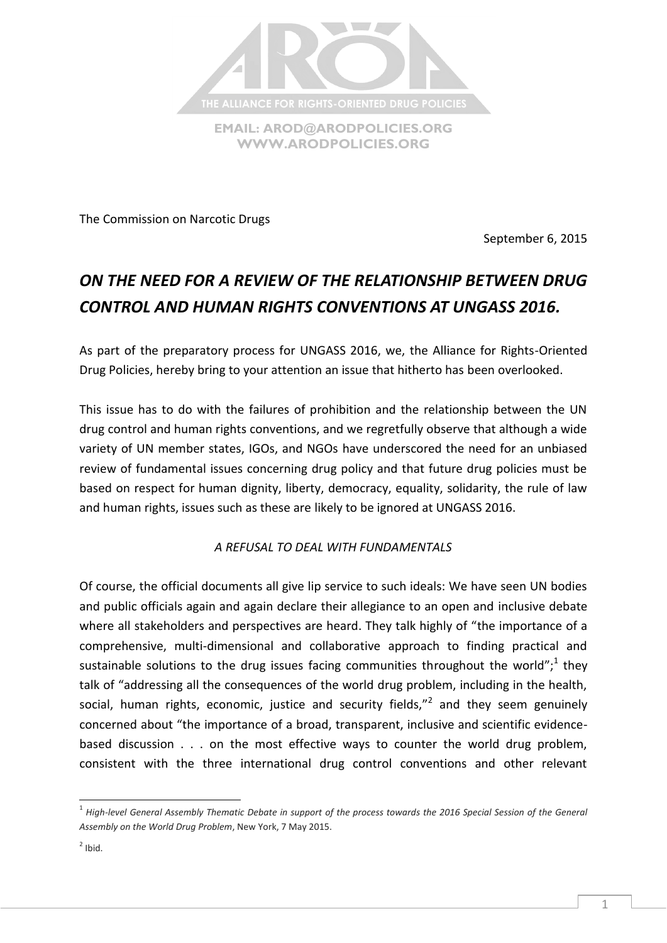

The Commission on Narcotic Drugs

September 6, 2015

# *ON THE NEED FOR A REVIEW OF THE RELATIONSHIP BETWEEN DRUG CONTROL AND HUMAN RIGHTS CONVENTIONS AT UNGASS 2016.*

As part of the preparatory process for UNGASS 2016, we, the Alliance for Rights-Oriented Drug Policies, hereby bring to your attention an issue that hitherto has been overlooked.

This issue has to do with the failures of prohibition and the relationship between the UN drug control and human rights conventions, and we regretfully observe that although a wide variety of UN member states, IGOs, and NGOs have underscored the need for an unbiased review of fundamental issues concerning drug policy and that future drug policies must be based on respect for human dignity, liberty, democracy, equality, solidarity, the rule of law and human rights, issues such as these are likely to be ignored at UNGASS 2016.

*A REFUSAL TO DEAL WITH FUNDAMENTALS*

Of course, the official documents all give lip service to such ideals: We have seen UN bodies and public officials again and again declare their allegiance to an open and inclusive debate where all stakeholders and perspectives are heard. They talk highly of "the importance of a comprehensive, multi-dimensional and collaborative approach to finding practical and sustainable solutions to the drug issues facing communities throughout the world";<sup>1</sup> they talk of "addressing all the consequences of the world drug problem, including in the health, social, human rights, economic, justice and security fields,"<sup>2</sup> and they seem genuinely concerned about "the importance of a broad, transparent, inclusive and scientific evidencebased discussion . . . on the most effective ways to counter the world drug problem, consistent with the three international drug control conventions and other relevant

 $\overline{\phantom{a}}$ 

<sup>&</sup>lt;sup>1</sup> High-level General Assembly Thematic Debate in support of the process towards the 2016 Special Session of the General *Assembly on the World Drug Problem*, New York, 7 May 2015.

 $2$  Ibid.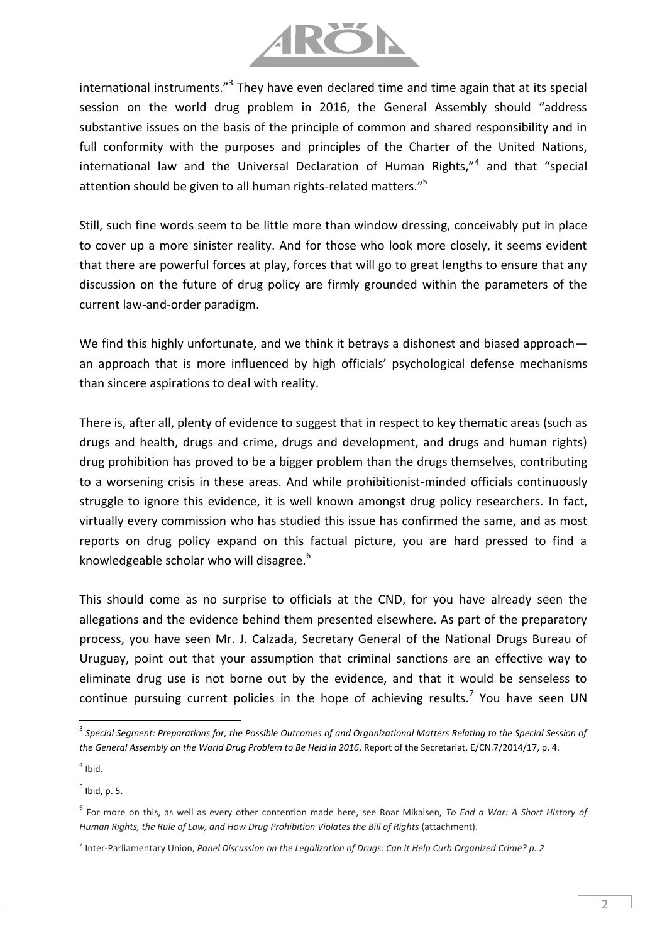

international instruments."<sup>3</sup> They have even declared time and time again that at its special session on the world drug problem in 2016, the General Assembly should "address substantive issues on the basis of the principle of common and shared responsibility and in full conformity with the purposes and principles of the Charter of the United Nations, international law and the Universal Declaration of Human Rights,"<sup>4</sup> and that "special attention should be given to all human rights-related matters."<sup>5</sup>

Still, such fine words seem to be little more than window dressing, conceivably put in place to cover up a more sinister reality. And for those who look more closely, it seems evident that there are powerful forces at play, forces that will go to great lengths to ensure that any discussion on the future of drug policy are firmly grounded within the parameters of the current law-and-order paradigm.

We find this highly unfortunate, and we think it betrays a dishonest and biased approach an approach that is more influenced by high officials' psychological defense mechanisms than sincere aspirations to deal with reality.

There is, after all, plenty of evidence to suggest that in respect to key thematic areas (such as drugs and health, drugs and crime, drugs and development, and drugs and human rights) drug prohibition has proved to be a bigger problem than the drugs themselves, contributing to a worsening crisis in these areas. And while prohibitionist-minded officials continuously struggle to ignore this evidence, it is well known amongst drug policy researchers. In fact, virtually every commission who has studied this issue has confirmed the same, and as most reports on drug policy expand on this factual picture, you are hard pressed to find a knowledgeable scholar who will disagree.<sup>6</sup>

This should come as no surprise to officials at the CND, for you have already seen the allegations and the evidence behind them presented elsewhere. As part of the preparatory process, you have seen Mr. J. Calzada, Secretary General of the National Drugs Bureau of Uruguay, point out that your assumption that criminal sanctions are an effective way to eliminate drug use is not borne out by the evidence, and that it would be senseless to continue pursuing current policies in the hope of achieving results.<sup>7</sup> You have seen UN

l

<sup>&</sup>lt;sup>3</sup> Special Segment: Preparations for, the Possible Outcomes of and Organizational Matters Relating to the Special Session of *the General Assembly on the World Drug Problem to Be Held in 2016*, Report of the Secretariat, E/CN.7/2014/17, p. 4.

 $<sup>4</sup>$  Ibid.</sup>

 $<sup>5</sup>$  Ibid, p. 5.</sup>

<sup>6</sup> For more on this, as well as every other contention made here, see Roar Mikalsen, *To End a War: A Short History of Human Rights, the Rule of Law, and How Drug Prohibition Violates the Bill of Rights* (attachment).

<sup>7</sup> Inter-Parliamentary Union, *Panel Discussion on the Legalization of Drugs: Can it Help Curb Organized Crime? p. 2*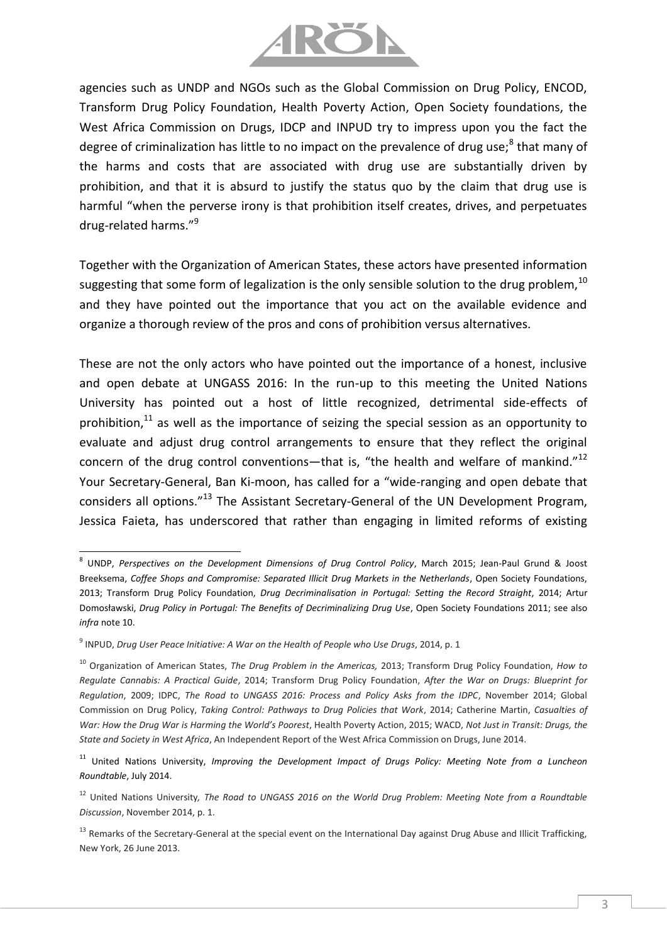

agencies such as UNDP and NGOs such as the Global Commission on Drug Policy, ENCOD, Transform Drug Policy Foundation, Health Poverty Action, Open Society foundations, the West Africa Commission on Drugs, IDCP and INPUD try to impress upon you the fact the degree of criminalization has little to no impact on the prevalence of drug use;<sup>8</sup> that many of the harms and costs that are associated with drug use are substantially driven by prohibition, and that it is absurd to justify the status quo by the claim that drug use is harmful "when the perverse irony is that prohibition itself creates, drives, and perpetuates drug-related harms."<sup>9</sup>

Together with the Organization of American States, these actors have presented information suggesting that some form of legalization is the only sensible solution to the drug problem,  $^{10}$ and they have pointed out the importance that you act on the available evidence and organize a thorough review of the pros and cons of prohibition versus alternatives.

These are not the only actors who have pointed out the importance of a honest, inclusive and open debate at UNGASS 2016: In the run-up to this meeting the United Nations University has pointed out a host of little recognized, detrimental side-effects of prohibition, $11$  as well as the importance of seizing the special session as an opportunity to evaluate and adjust drug control arrangements to ensure that they reflect the original concern of the drug control conventions—that is, "the health and welfare of mankind."<sup>12</sup> Your Secretary-General, Ban Ki-moon, has called for a "wide-ranging and open debate that considers all options."<sup>13</sup> The Assistant Secretary-General of the UN Development Program, Jessica Faieta, has underscored that rather than engaging in limited reforms of existing

l

<sup>8</sup> UNDP, *Perspectives on the Development Dimensions of Drug Control Policy*, March 2015; Jean-Paul Grund & Joost Breeksema, *Coffee Shops and Compromise: Separated Illicit Drug Markets in the Netherlands*, Open Society Foundations, 2013; Transform Drug Policy Foundation, *Drug Decriminalisation in Portugal: Setting the Record Straight*, 2014; Artur Domosławski, *Drug Policy in Portugal: The Benefits of Decriminalizing Drug Use*, Open Society Foundations 2011; see also *infra* note 10.

<sup>9</sup> INPUD, *Drug User Peace Initiative: A War on the Health of People who Use Drugs*, 2014, p. 1

<sup>10</sup> Organization of American States, *The Drug Problem in the Americas,* 2013; Transform Drug Policy Foundation, *How to Regulate Cannabis: A Practical Guide*, 2014; Transform Drug Policy Foundation, *After the War on Drugs: Blueprint for Regulation*, 2009; IDPC, *The Road to UNGASS 2016: Process and Policy Asks from the IDPC*, November 2014; Global Commission on Drug Policy, *Taking Control: Pathways to Drug Policies that Work*, 2014; Catherine Martin, *Casualties of War: How the Drug War is Harming the World's Poorest*, Health Poverty Action, 2015; WACD, *Not Just in Transit: Drugs, the State and Society in West Africa*, An Independent Report of the West Africa Commission on Drugs, June 2014.

<sup>&</sup>lt;sup>11</sup> United Nations University, *Improving the Development Impact of Drugs Policy: Meeting Note from a Luncheon Roundtable*, July 2014.

<sup>&</sup>lt;sup>12</sup> United Nations University, The Road to UNGASS 2016 on the World Drug Problem: Meeting Note from a Roundtable *Discussion*, November 2014, p. 1.

<sup>&</sup>lt;sup>13</sup> Remarks of the Secretary-General at the special event on the International Day against Drug Abuse and Illicit Trafficking, New York, 26 June 2013.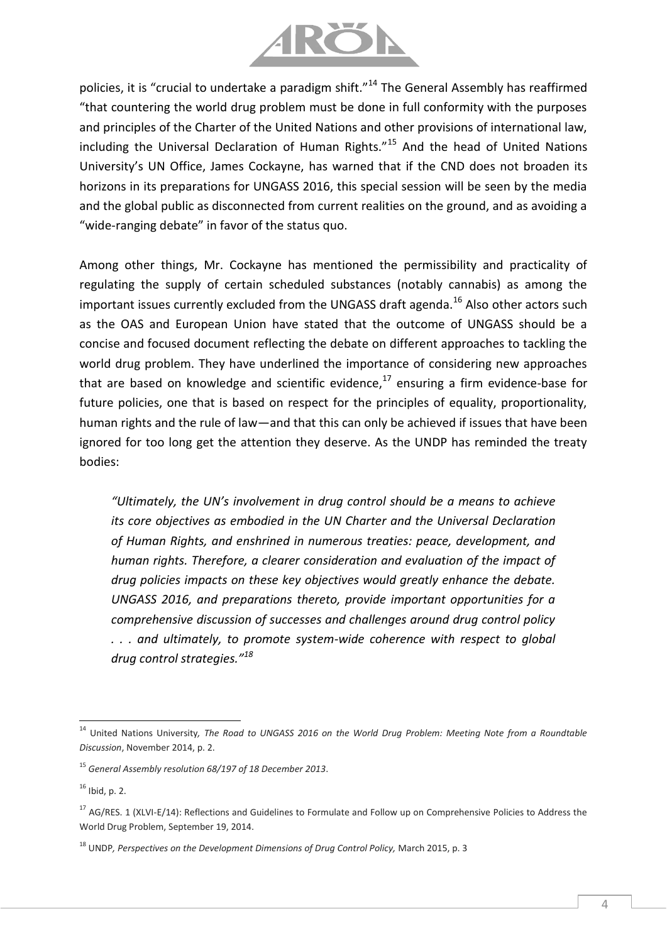

policies, it is "crucial to undertake a paradigm shift."<sup>14</sup> The General Assembly has reaffirmed "that countering the world drug problem must be done in full conformity with the purposes and principles of the Charter of the United Nations and other provisions of international law, including the Universal Declaration of Human Rights."<sup>15</sup> And the head of United Nations University's UN Office, James Cockayne, has warned that if the CND does not broaden its horizons in its preparations for UNGASS 2016, this special session will be seen by the media and the global public as disconnected from current realities on the ground, and as avoiding a "wide-ranging debate" in favor of the status quo.

Among other things, Mr. Cockayne has mentioned the permissibility and practicality of regulating the supply of certain scheduled substances (notably cannabis) as among the important issues currently excluded from the UNGASS draft agenda.<sup>16</sup> Also other actors such as the OAS and European Union have stated that the outcome of UNGASS should be a concise and focused document reflecting the debate on different approaches to tackling the world drug problem. They have underlined the importance of considering new approaches that are based on knowledge and scientific evidence, $17$  ensuring a firm evidence-base for future policies, one that is based on respect for the principles of equality, proportionality, human rights and the rule of law—and that this can only be achieved if issues that have been ignored for too long get the attention they deserve. As the UNDP has reminded the treaty bodies:

*"Ultimately, the UN's involvement in drug control should be a means to achieve its core objectives as embodied in the UN Charter and the Universal Declaration of Human Rights, and enshrined in numerous treaties: peace, development, and human rights. Therefore, a clearer consideration and evaluation of the impact of drug policies impacts on these key objectives would greatly enhance the debate. UNGASS 2016, and preparations thereto, provide important opportunities for a comprehensive discussion of successes and challenges around drug control policy . . . and ultimately, to promote system-wide coherence with respect to global drug control strategies."<sup>18</sup>*

l <sup>14</sup> United Nations University*, The Road to UNGASS 2016 on the World Drug Problem: Meeting Note from a Roundtable Discussion*, November 2014, p. 2.

<sup>15</sup> *General Assembly resolution 68/197 of 18 December 2013*.

 $16$  Ibid, p. 2.

 $17$  AG/RES. 1 (XLVI-E/14): Reflections and Guidelines to Formulate and Follow up on Comprehensive Policies to Address the World Drug Problem, September 19, 2014.

<sup>&</sup>lt;sup>18</sup> UNDP, Perspectives on the Development Dimensions of Drug Control Policy, March 2015, p. 3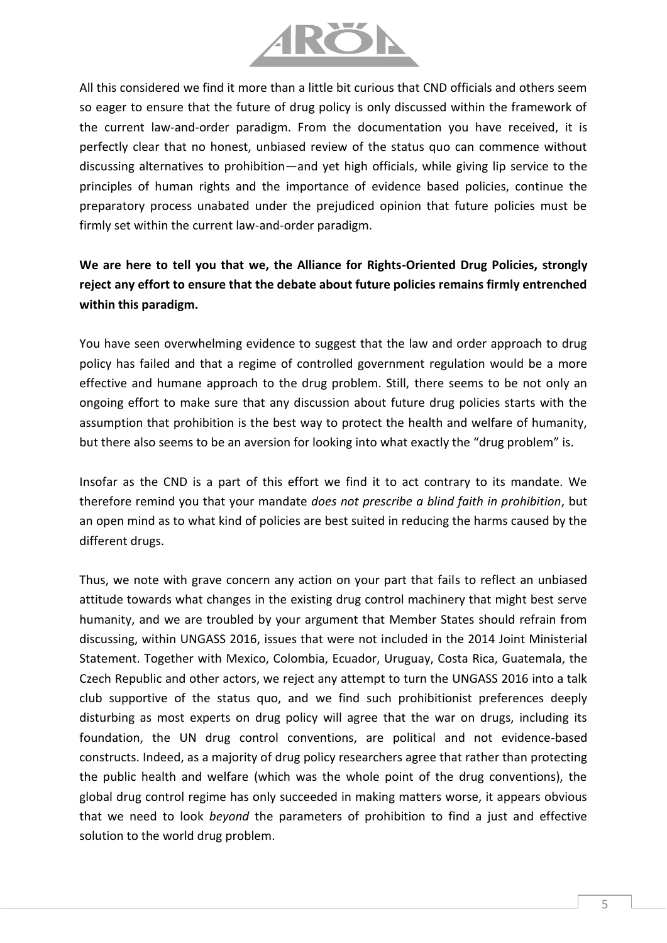

All this considered we find it more than a little bit curious that CND officials and others seem so eager to ensure that the future of drug policy is only discussed within the framework of the current law-and-order paradigm. From the documentation you have received, it is perfectly clear that no honest, unbiased review of the status quo can commence without discussing alternatives to prohibition—and yet high officials, while giving lip service to the principles of human rights and the importance of evidence based policies, continue the preparatory process unabated under the prejudiced opinion that future policies must be firmly set within the current law-and-order paradigm.

# **We are here to tell you that we, the Alliance for Rights-Oriented Drug Policies, strongly reject any effort to ensure that the debate about future policies remains firmly entrenched within this paradigm.**

You have seen overwhelming evidence to suggest that the law and order approach to drug policy has failed and that a regime of controlled government regulation would be a more effective and humane approach to the drug problem. Still, there seems to be not only an ongoing effort to make sure that any discussion about future drug policies starts with the assumption that prohibition is the best way to protect the health and welfare of humanity, but there also seems to be an aversion for looking into what exactly the "drug problem" is.

Insofar as the CND is a part of this effort we find it to act contrary to its mandate. We therefore remind you that your mandate *does not prescribe a blind faith in prohibition*, but an open mind as to what kind of policies are best suited in reducing the harms caused by the different drugs.

Thus, we note with grave concern any action on your part that fails to reflect an unbiased attitude towards what changes in the existing drug control machinery that might best serve humanity, and we are troubled by your argument that Member States should refrain from discussing, within UNGASS 2016, issues that were not included in the 2014 Joint Ministerial Statement. Together with Mexico, Colombia, Ecuador, Uruguay, Costa Rica, Guatemala, the Czech Republic and other actors, we reject any attempt to turn the UNGASS 2016 into a talk club supportive of the status quo, and we find such prohibitionist preferences deeply disturbing as most experts on drug policy will agree that the war on drugs, including its foundation, the UN drug control conventions, are political and not evidence-based constructs. Indeed, as a majority of drug policy researchers agree that rather than protecting the public health and welfare (which was the whole point of the drug conventions), the global drug control regime has only succeeded in making matters worse, it appears obvious that we need to look *beyond* the parameters of prohibition to find a just and effective solution to the world drug problem.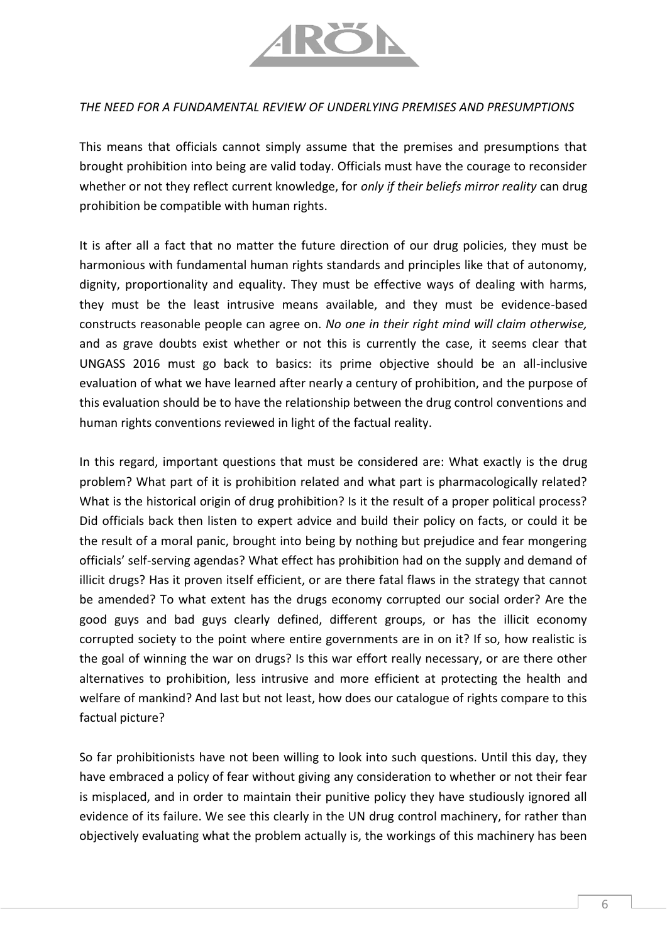

#### *THE NEED FOR A FUNDAMENTAL REVIEW OF UNDERLYING PREMISES AND PRESUMPTIONS*

This means that officials cannot simply assume that the premises and presumptions that brought prohibition into being are valid today. Officials must have the courage to reconsider whether or not they reflect current knowledge, for *only if their beliefs mirror reality* can drug prohibition be compatible with human rights.

It is after all a fact that no matter the future direction of our drug policies, they must be harmonious with fundamental human rights standards and principles like that of autonomy, dignity, proportionality and equality. They must be effective ways of dealing with harms, they must be the least intrusive means available, and they must be evidence-based constructs reasonable people can agree on. *No one in their right mind will claim otherwise,*  and as grave doubts exist whether or not this is currently the case, it seems clear that UNGASS 2016 must go back to basics: its prime objective should be an all-inclusive evaluation of what we have learned after nearly a century of prohibition, and the purpose of this evaluation should be to have the relationship between the drug control conventions and human rights conventions reviewed in light of the factual reality.

In this regard, important questions that must be considered are: What exactly is the drug problem? What part of it is prohibition related and what part is pharmacologically related? What is the historical origin of drug prohibition? Is it the result of a proper political process? Did officials back then listen to expert advice and build their policy on facts, or could it be the result of a moral panic, brought into being by nothing but prejudice and fear mongering officials' self-serving agendas? What effect has prohibition had on the supply and demand of illicit drugs? Has it proven itself efficient, or are there fatal flaws in the strategy that cannot be amended? To what extent has the drugs economy corrupted our social order? Are the good guys and bad guys clearly defined, different groups, or has the illicit economy corrupted society to the point where entire governments are in on it? If so, how realistic is the goal of winning the war on drugs? Is this war effort really necessary, or are there other alternatives to prohibition, less intrusive and more efficient at protecting the health and welfare of mankind? And last but not least, how does our catalogue of rights compare to this factual picture?

So far prohibitionists have not been willing to look into such questions. Until this day, they have embraced a policy of fear without giving any consideration to whether or not their fear is misplaced, and in order to maintain their punitive policy they have studiously ignored all evidence of its failure. We see this clearly in the UN drug control machinery, for rather than objectively evaluating what the problem actually is, the workings of this machinery has been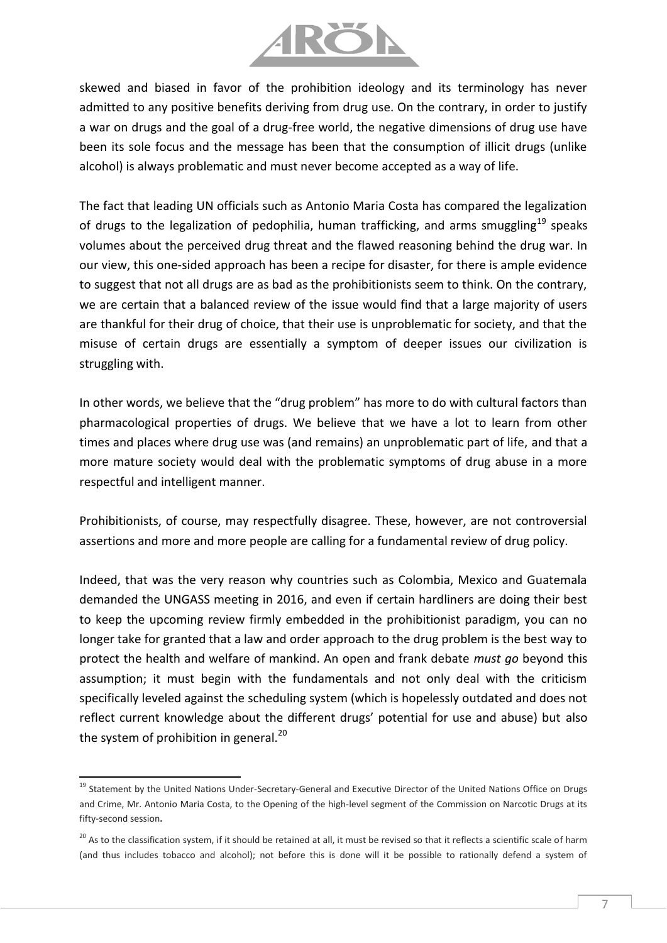

skewed and biased in favor of the prohibition ideology and its terminology has never admitted to any positive benefits deriving from drug use. On the contrary, in order to justify a war on drugs and the goal of a drug-free world, the negative dimensions of drug use have been its sole focus and the message has been that the consumption of illicit drugs (unlike alcohol) is always problematic and must never become accepted as a way of life.

The fact that leading UN officials such as Antonio Maria Costa has compared the legalization of drugs to the legalization of pedophilia, human trafficking, and arms smuggling<sup>19</sup> speaks volumes about the perceived drug threat and the flawed reasoning behind the drug war. In our view, this one-sided approach has been a recipe for disaster, for there is ample evidence to suggest that not all drugs are as bad as the prohibitionists seem to think. On the contrary, we are certain that a balanced review of the issue would find that a large majority of users are thankful for their drug of choice, that their use is unproblematic for society, and that the misuse of certain drugs are essentially a symptom of deeper issues our civilization is struggling with.

In other words, we believe that the "drug problem" has more to do with cultural factors than pharmacological properties of drugs. We believe that we have a lot to learn from other times and places where drug use was (and remains) an unproblematic part of life, and that a more mature society would deal with the problematic symptoms of drug abuse in a more respectful and intelligent manner.

Prohibitionists, of course, may respectfully disagree. These, however, are not controversial assertions and more and more people are calling for a fundamental review of drug policy.

Indeed, that was the very reason why countries such as Colombia, Mexico and Guatemala demanded the UNGASS meeting in 2016, and even if certain hardliners are doing their best to keep the upcoming review firmly embedded in the prohibitionist paradigm, you can no longer take for granted that a law and order approach to the drug problem is the best way to protect the health and welfare of mankind. An open and frank debate *must go* beyond this assumption; it must begin with the fundamentals and not only deal with the criticism specifically leveled against the scheduling system (which is hopelessly outdated and does not reflect current knowledge about the different drugs' potential for use and abuse) but also the system of prohibition in general.<sup>20</sup>

 $\overline{\phantom{a}}$ 

<sup>&</sup>lt;sup>19</sup> Statement by the United Nations Under-Secretary-General and Executive Director of the United Nations Office on Drugs and Crime, Mr. Antonio Maria Costa, to the Opening of the high-level segment of the Commission on Narcotic Drugs at its fifty-second session**.**

<sup>&</sup>lt;sup>20</sup> As to the classification system, if it should be retained at all, it must be revised so that it reflects a scientific scale of harm (and thus includes tobacco and alcohol); not before this is done will it be possible to rationally defend a system of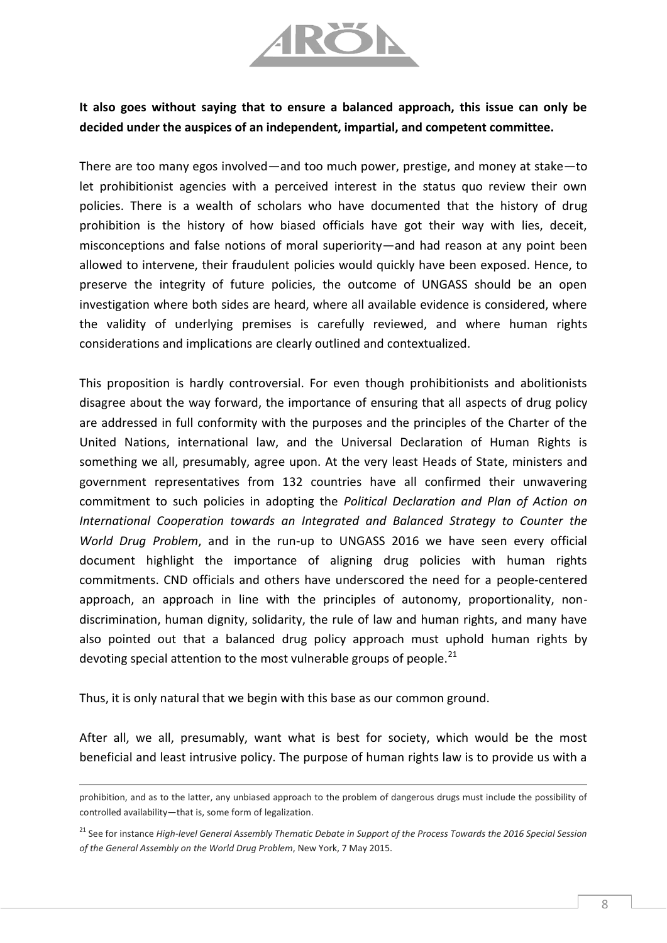

## **It also goes without saying that to ensure a balanced approach, this issue can only be decided under the auspices of an independent, impartial, and competent committee.**

There are too many egos involved—and too much power, prestige, and money at stake—to let prohibitionist agencies with a perceived interest in the status quo review their own policies. There is a wealth of scholars who have documented that the history of drug prohibition is the history of how biased officials have got their way with lies, deceit, misconceptions and false notions of moral superiority—and had reason at any point been allowed to intervene, their fraudulent policies would quickly have been exposed. Hence, to preserve the integrity of future policies, the outcome of UNGASS should be an open investigation where both sides are heard, where all available evidence is considered, where the validity of underlying premises is carefully reviewed, and where human rights considerations and implications are clearly outlined and contextualized.

This proposition is hardly controversial. For even though prohibitionists and abolitionists disagree about the way forward, the importance of ensuring that all aspects of drug policy are addressed in full conformity with the purposes and the principles of the Charter of the United Nations, international law, and the Universal Declaration of Human Rights is something we all, presumably, agree upon. At the very least Heads of State, ministers and government representatives from 132 countries have all confirmed their unwavering commitment to such policies in adopting the *Political Declaration and Plan of Action on International Cooperation towards an Integrated and Balanced Strategy to Counter the World Drug Problem*, and in the run-up to UNGASS 2016 we have seen every official document highlight the importance of aligning drug policies with human rights commitments. CND officials and others have underscored the need for a people-centered approach, an approach in line with the principles of autonomy, proportionality, nondiscrimination, human dignity, solidarity, the rule of law and human rights, and many have also pointed out that a balanced drug policy approach must uphold human rights by devoting special attention to the most vulnerable groups of people. $^{21}$ 

Thus, it is only natural that we begin with this base as our common ground.

 $\overline{\phantom{a}}$ 

After all, we all, presumably, want what is best for society, which would be the most beneficial and least intrusive policy. The purpose of human rights law is to provide us with a

prohibition, and as to the latter, any unbiased approach to the problem of dangerous drugs must include the possibility of controlled availability—that is, some form of legalization.

<sup>21</sup> See for instance *High-level General Assembly Thematic Debate in Support of the Process Towards the 2016 Special Session of the General Assembly on the World Drug Problem*, New York, 7 May 2015.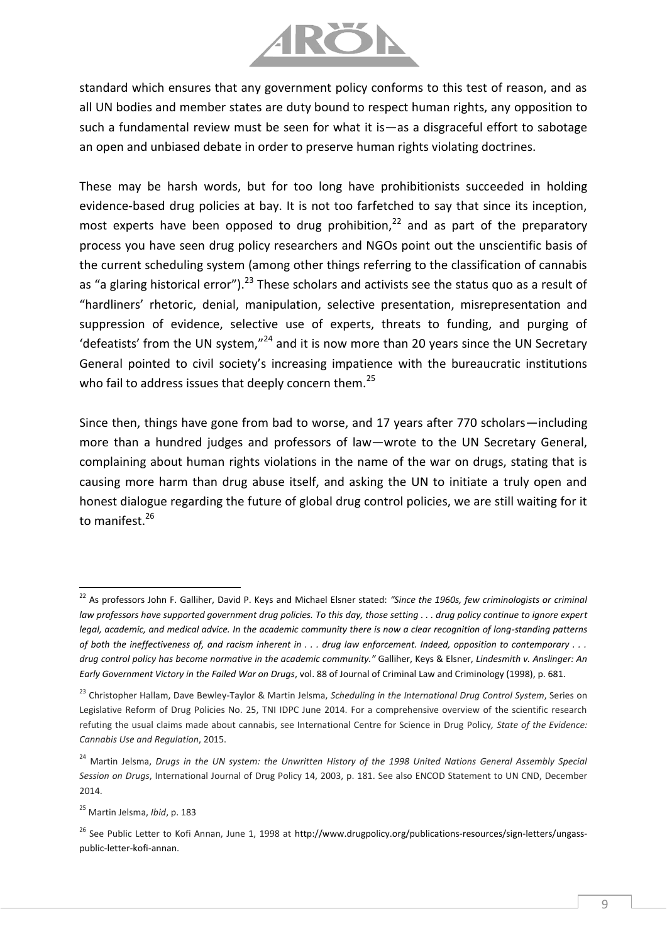

standard which ensures that any government policy conforms to this test of reason, and as all UN bodies and member states are duty bound to respect human rights, any opposition to such a fundamental review must be seen for what it is—as a disgraceful effort to sabotage an open and unbiased debate in order to preserve human rights violating doctrines.

These may be harsh words, but for too long have prohibitionists succeeded in holding evidence-based drug policies at bay. It is not too farfetched to say that since its inception, most experts have been opposed to drug prohibition,<sup>22</sup> and as part of the preparatory process you have seen drug policy researchers and NGOs point out the unscientific basis of the current scheduling system (among other things referring to the classification of cannabis as "a glaring historical error").<sup>23</sup> These scholars and activists see the status quo as a result of "hardliners' rhetoric, denial, manipulation, selective presentation, misrepresentation and suppression of evidence, selective use of experts, threats to funding, and purging of 'defeatists' from the UN system,"<sup>24</sup> and it is now more than 20 years since the UN Secretary General pointed to civil society's increasing impatience with the bureaucratic institutions who fail to address issues that deeply concern them.<sup>25</sup>

Since then, things have gone from bad to worse, and 17 years after 770 scholars—including more than a hundred judges and professors of law—wrote to the UN Secretary General, complaining about human rights violations in the name of the war on drugs, stating that is causing more harm than drug abuse itself, and asking the UN to initiate a truly open and honest dialogue regarding the future of global drug control policies, we are still waiting for it to manifest.<sup>26</sup>

 $\overline{\phantom{a}}$ 

<sup>22</sup> As professors John F. Galliher, David P. Keys and Michael Elsner stated: *"Since the 1960s, few criminologists or criminal law professors have supported government drug policies. To this day, those setting . . . drug policy continue to ignore expert legal, academic, and medical advice. In the academic community there is now a clear recognition of long-standing patterns of both the ineffectiveness of, and racism inherent in . . . drug law enforcement. Indeed, opposition to contemporary . . . drug control policy has become normative in the academic community."* Galliher, Keys & Elsner, *Lindesmith v. Anslinger: An Early Government Victory in the Failed War on Drugs*, vol. 88 of Journal of Criminal Law and Criminology (1998), p. 681.

<sup>23</sup> Christopher Hallam, Dave Bewley-Taylor & Martin Jelsma, *Scheduling in the International Drug Control System*, Series on Legislative Reform of Drug Policies No. 25, TNI IDPC June 2014. For a comprehensive overview of the scientific research refuting the usual claims made about cannabis, see International Centre for Science in Drug Policy*, State of the Evidence: Cannabis Use and Regulation*, 2015.

<sup>&</sup>lt;sup>24</sup> Martin Jelsma, *Drugs in the UN system: the Unwritten History of the 1998 United Nations General Assembly Special Session on Drugs*, International Journal of Drug Policy 14, 2003, p. 181. See also ENCOD Statement to UN CND, December 2014.

<sup>25</sup> Martin Jelsma, *Ibid*, p. 183

<sup>&</sup>lt;sup>26</sup> See Public Letter to Kofi Annan, June 1, 1998 at [http://www.drugpolicy.org/publications-resources/sign-letters/ungass](http://www.drugpolicy.org/publications-resources/sign-letters/ungass-public-letter-kofi-annan)[public-letter-kofi-annan.](http://www.drugpolicy.org/publications-resources/sign-letters/ungass-public-letter-kofi-annan)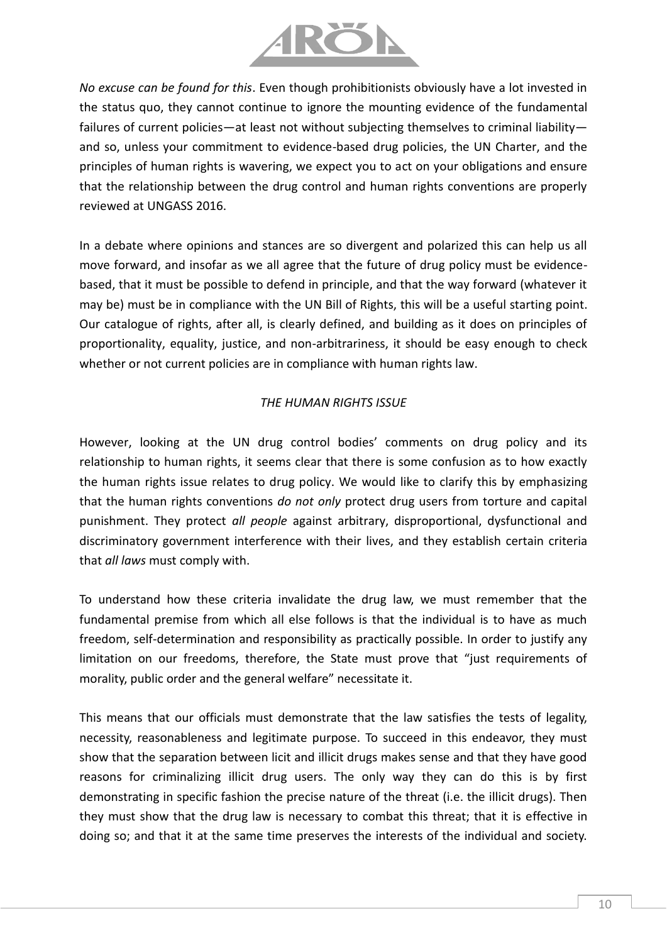

*No excuse can be found for this*. Even though prohibitionists obviously have a lot invested in the status quo, they cannot continue to ignore the mounting evidence of the fundamental failures of current policies—at least not without subjecting themselves to criminal liability and so, unless your commitment to evidence-based drug policies, the UN Charter, and the principles of human rights is wavering, we expect you to act on your obligations and ensure that the relationship between the drug control and human rights conventions are properly reviewed at UNGASS 2016.

In a debate where opinions and stances are so divergent and polarized this can help us all move forward, and insofar as we all agree that the future of drug policy must be evidencebased, that it must be possible to defend in principle, and that the way forward (whatever it may be) must be in compliance with the UN Bill of Rights, this will be a useful starting point. Our catalogue of rights, after all, is clearly defined, and building as it does on principles of proportionality, equality, justice, and non-arbitrariness, it should be easy enough to check whether or not current policies are in compliance with human rights law.

#### *THE HUMAN RIGHTS ISSUE*

However, looking at the UN drug control bodies' comments on drug policy and its relationship to human rights, it seems clear that there is some confusion as to how exactly the human rights issue relates to drug policy. We would like to clarify this by emphasizing that the human rights conventions *do not only* protect drug users from torture and capital punishment. They protect *all people* against arbitrary, disproportional, dysfunctional and discriminatory government interference with their lives, and they establish certain criteria that *all laws* must comply with.

To understand how these criteria invalidate the drug law, we must remember that the fundamental premise from which all else follows is that the individual is to have as much freedom, self-determination and responsibility as practically possible. In order to justify any limitation on our freedoms, therefore, the State must prove that "just requirements of morality, public order and the general welfare" necessitate it.

This means that our officials must demonstrate that the law satisfies the tests of legality, necessity, reasonableness and legitimate purpose. To succeed in this endeavor, they must show that the separation between licit and illicit drugs makes sense and that they have good reasons for criminalizing illicit drug users. The only way they can do this is by first demonstrating in specific fashion the precise nature of the threat (i.e. the illicit drugs). Then they must show that the drug law is necessary to combat this threat; that it is effective in doing so; and that it at the same time preserves the interests of the individual and society.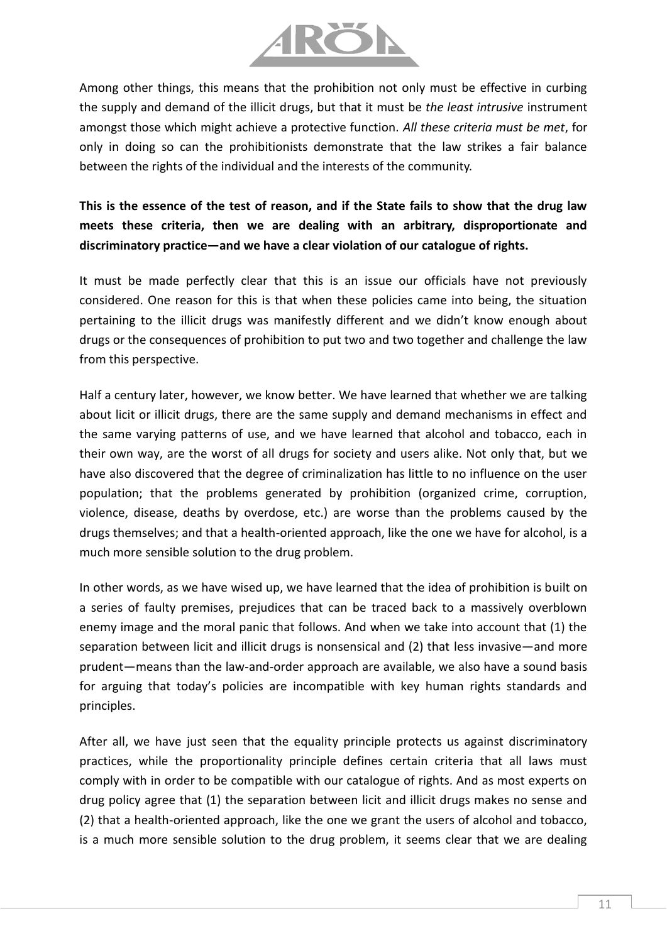

Among other things, this means that the prohibition not only must be effective in curbing the supply and demand of the illicit drugs, but that it must be *the least intrusive* instrument amongst those which might achieve a protective function. *All these criteria must be met*, for only in doing so can the prohibitionists demonstrate that the law strikes a fair balance between the rights of the individual and the interests of the community.

**This is the essence of the test of reason, and if the State fails to show that the drug law meets these criteria, then we are dealing with an arbitrary, disproportionate and discriminatory practice—and we have a clear violation of our catalogue of rights.**

It must be made perfectly clear that this is an issue our officials have not previously considered. One reason for this is that when these policies came into being, the situation pertaining to the illicit drugs was manifestly different and we didn't know enough about drugs or the consequences of prohibition to put two and two together and challenge the law from this perspective.

Half a century later, however, we know better. We have learned that whether we are talking about licit or illicit drugs, there are the same supply and demand mechanisms in effect and the same varying patterns of use, and we have learned that alcohol and tobacco, each in their own way, are the worst of all drugs for society and users alike. Not only that, but we have also discovered that the degree of criminalization has little to no influence on the user population; that the problems generated by prohibition (organized crime, corruption, violence, disease, deaths by overdose, etc.) are worse than the problems caused by the drugs themselves; and that a health-oriented approach, like the one we have for alcohol, is a much more sensible solution to the drug problem.

In other words, as we have wised up, we have learned that the idea of prohibition is built on a series of faulty premises, prejudices that can be traced back to a massively overblown enemy image and the moral panic that follows. And when we take into account that (1) the separation between licit and illicit drugs is nonsensical and (2) that less invasive—and more prudent—means than the law-and-order approach are available, we also have a sound basis for arguing that today's policies are incompatible with key human rights standards and principles.

After all, we have just seen that the equality principle protects us against discriminatory practices, while the proportionality principle defines certain criteria that all laws must comply with in order to be compatible with our catalogue of rights. And as most experts on drug policy agree that (1) the separation between licit and illicit drugs makes no sense and (2) that a health-oriented approach, like the one we grant the users of alcohol and tobacco, is a much more sensible solution to the drug problem, it seems clear that we are dealing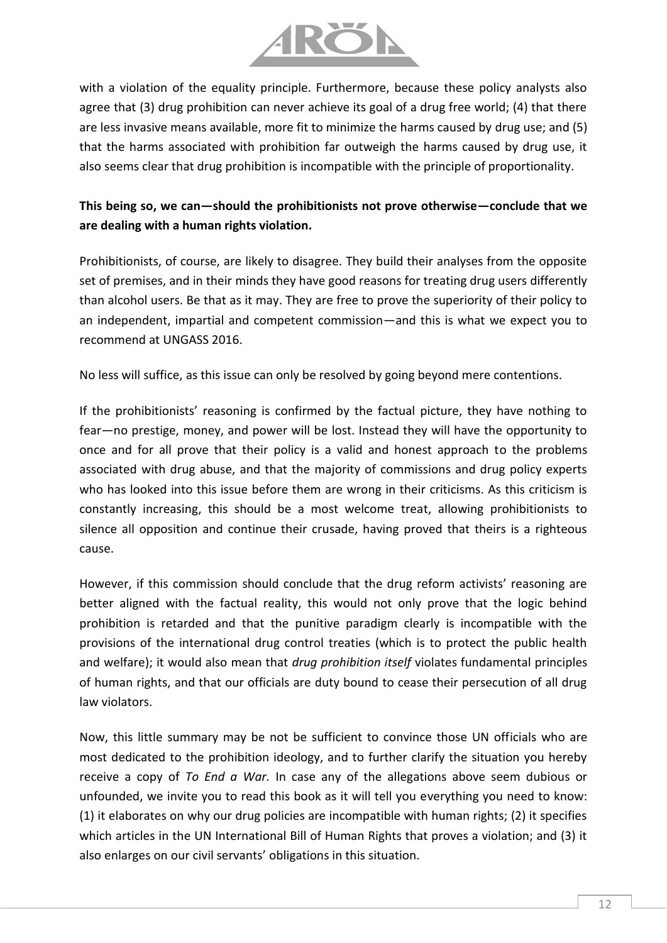

with a violation of the equality principle. Furthermore, because these policy analysts also agree that (3) drug prohibition can never achieve its goal of a drug free world; (4) that there are less invasive means available, more fit to minimize the harms caused by drug use; and (5) that the harms associated with prohibition far outweigh the harms caused by drug use, it also seems clear that drug prohibition is incompatible with the principle of proportionality.

## **This being so, we can—should the prohibitionists not prove otherwise—conclude that we are dealing with a human rights violation.**

Prohibitionists, of course, are likely to disagree. They build their analyses from the opposite set of premises, and in their minds they have good reasons for treating drug users differently than alcohol users. Be that as it may. They are free to prove the superiority of their policy to an independent, impartial and competent commission—and this is what we expect you to recommend at UNGASS 2016.

No less will suffice, as this issue can only be resolved by going beyond mere contentions.

If the prohibitionists' reasoning is confirmed by the factual picture, they have nothing to fear—no prestige, money, and power will be lost. Instead they will have the opportunity to once and for all prove that their policy is a valid and honest approach to the problems associated with drug abuse, and that the majority of commissions and drug policy experts who has looked into this issue before them are wrong in their criticisms. As this criticism is constantly increasing, this should be a most welcome treat, allowing prohibitionists to silence all opposition and continue their crusade, having proved that theirs is a righteous cause.

However, if this commission should conclude that the drug reform activists' reasoning are better aligned with the factual reality, this would not only prove that the logic behind prohibition is retarded and that the punitive paradigm clearly is incompatible with the provisions of the international drug control treaties (which is to protect the public health and welfare); it would also mean that *drug prohibition itself* violates fundamental principles of human rights, and that our officials are duty bound to cease their persecution of all drug law violators.

Now, this little summary may be not be sufficient to convince those UN officials who are most dedicated to the prohibition ideology, and to further clarify the situation you hereby receive a copy of *To End a War.* In case any of the allegations above seem dubious or unfounded, we invite you to read this book as it will tell you everything you need to know: (1) it elaborates on why our drug policies are incompatible with human rights; (2) it specifies which articles in the UN International Bill of Human Rights that proves a violation; and (3) it also enlarges on our civil servants' obligations in this situation.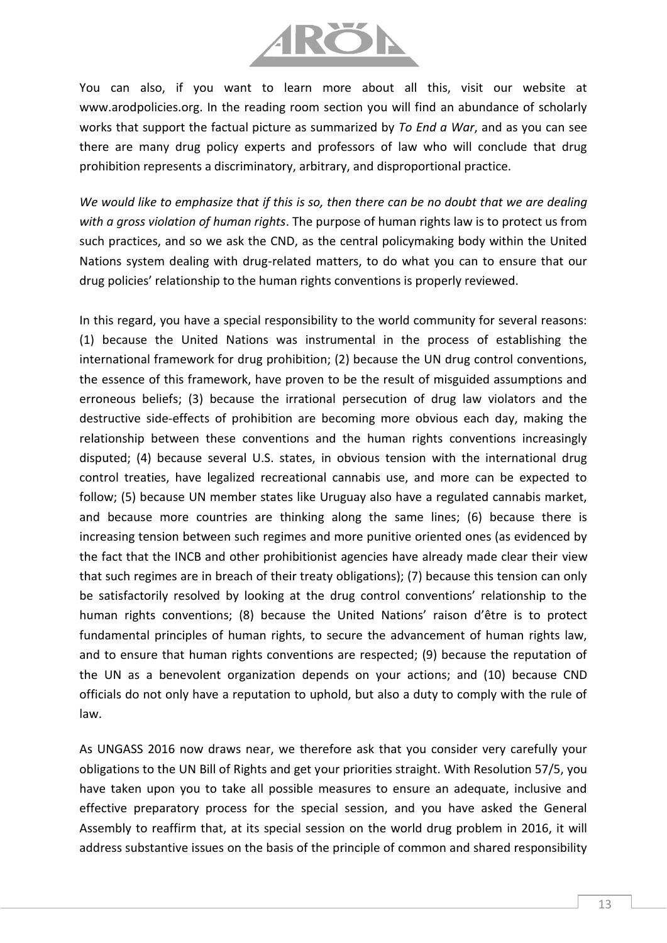

You can also, if you want to learn more about all this, visit our website at www.arodpolicies.org. In the reading room section you will find an abundance of scholarly works that support the factual picture as summarized by *To End a War*, and as you can see there are many drug policy experts and professors of law who will conclude that drug prohibition represents a discriminatory, arbitrary, and disproportional practice.

*We would like to emphasize that if this is so, then there can be no doubt that we are dealing with a gross violation of human rights*. The purpose of human rights law is to protect us from such practices, and so we ask the CND, as the central policymaking body within the United Nations system dealing with drug-related matters, to do what you can to ensure that our drug policies' relationship to the human rights conventions is properly reviewed.

In this regard, you have a special responsibility to the world community for several reasons: (1) because the United Nations was instrumental in the process of establishing the international framework for drug prohibition; (2) because the UN drug control conventions, the essence of this framework, have proven to be the result of misguided assumptions and erroneous beliefs; (3) because the irrational persecution of drug law violators and the destructive side-effects of prohibition are becoming more obvious each day, making the relationship between these conventions and the human rights conventions increasingly disputed; (4) because several U.S. states, in obvious tension with the international drug control treaties, have legalized recreational cannabis use, and more can be expected to follow; (5) because UN member states like Uruguay also have a regulated cannabis market, and because more countries are thinking along the same lines; (6) because there is increasing tension between such regimes and more punitive oriented ones (as evidenced by the fact that the INCB and other prohibitionist agencies have already made clear their view that such regimes are in breach of their treaty obligations); (7) because this tension can only be satisfactorily resolved by looking at the drug control conventions' relationship to the human rights conventions; (8) because the United Nations' raison d'être is to protect fundamental principles of human rights, to secure the advancement of human rights law, and to ensure that human rights conventions are respected; (9) because the reputation of the UN as a benevolent organization depends on your actions; and (10) because CND officials do not only have a reputation to uphold, but also a duty to comply with the rule of law.

As UNGASS 2016 now draws near, we therefore ask that you consider very carefully your obligations to the UN Bill of Rights and get your priorities straight. With Resolution 57/5, you have taken upon you to take all possible measures to ensure an adequate, inclusive and effective preparatory process for the special session, and you have asked the General Assembly to reaffirm that, at its special session on the world drug problem in 2016, it will address substantive issues on the basis of the principle of common and shared responsibility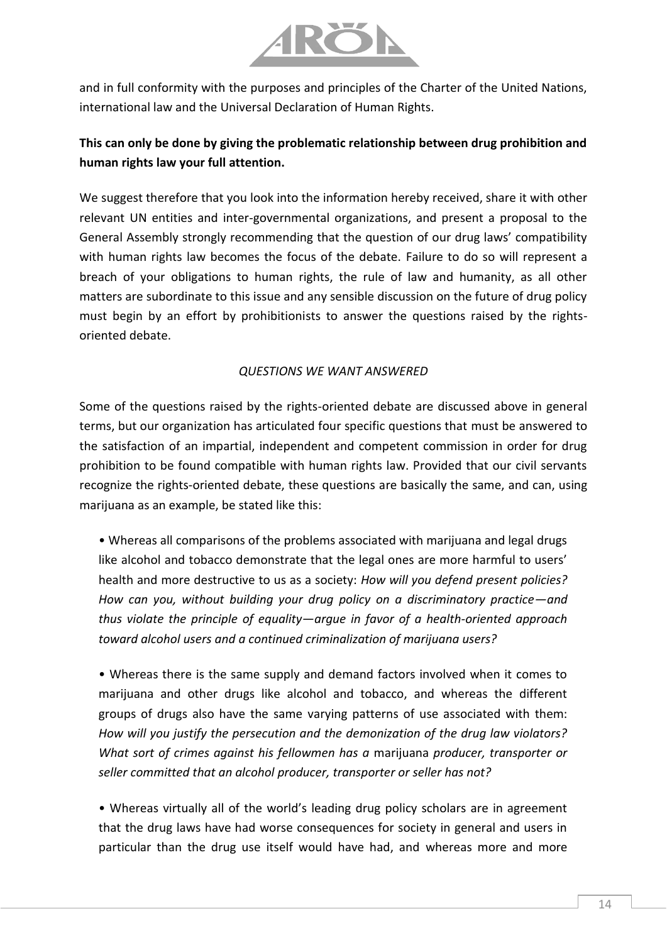

and in full conformity with the purposes and principles of the Charter of the United Nations, international law and the Universal Declaration of Human Rights.

# **This can only be done by giving the problematic relationship between drug prohibition and human rights law your full attention.**

We suggest therefore that you look into the information hereby received, share it with other relevant UN entities and inter-governmental organizations, and present a proposal to the General Assembly strongly recommending that the question of our drug laws' compatibility with human rights law becomes the focus of the debate. Failure to do so will represent a breach of your obligations to human rights, the rule of law and humanity, as all other matters are subordinate to this issue and any sensible discussion on the future of drug policy must begin by an effort by prohibitionists to answer the questions raised by the rightsoriented debate.

### *QUESTIONS WE WANT ANSWERED*

Some of the questions raised by the rights-oriented debate are discussed above in general terms, but our organization has articulated four specific questions that must be answered to the satisfaction of an impartial, independent and competent commission in order for drug prohibition to be found compatible with human rights law. Provided that our civil servants recognize the rights-oriented debate, these questions are basically the same, and can, using marijuana as an example, be stated like this:

• Whereas all comparisons of the problems associated with marijuana and legal drugs like alcohol and tobacco demonstrate that the legal ones are more harmful to users' health and more destructive to us as a society: *How will you defend present policies? How can you, without building your drug policy on a discriminatory practice—and thus violate the principle of equality—argue in favor of a health-oriented approach toward alcohol users and a continued criminalization of marijuana users?*

• Whereas there is the same supply and demand factors involved when it comes to marijuana and other drugs like alcohol and tobacco, and whereas the different groups of drugs also have the same varying patterns of use associated with them: *How will you justify the persecution and the demonization of the drug law violators? What sort of crimes against his fellowmen has a* marijuana *producer, transporter or seller committed that an alcohol producer, transporter or seller has not?*

• Whereas virtually all of the world's leading drug policy scholars are in agreement that the drug laws have had worse consequences for society in general and users in particular than the drug use itself would have had, and whereas more and more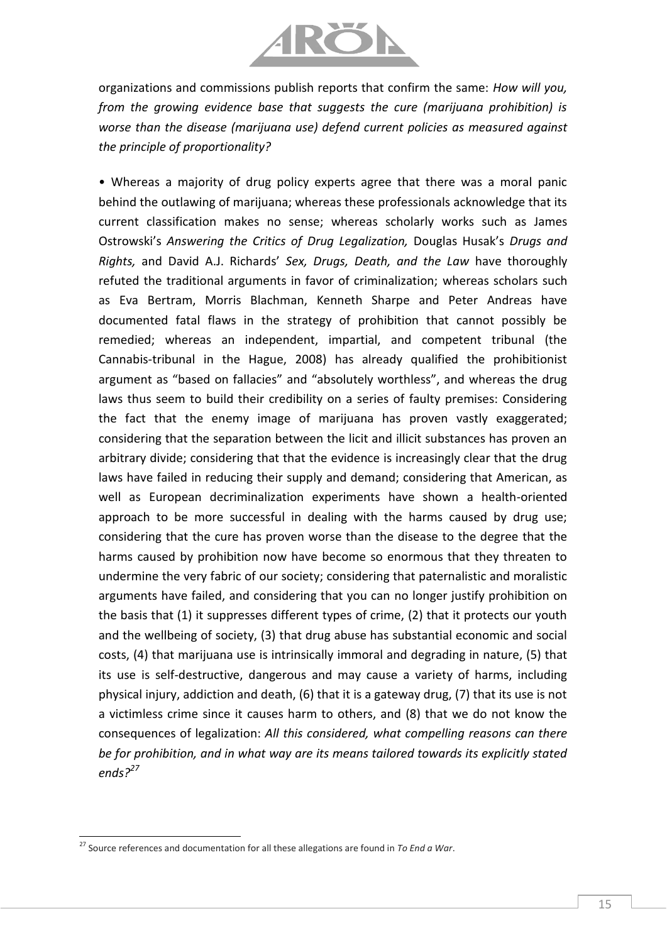

organizations and commissions publish reports that confirm the same: *How will you, from the growing evidence base that suggests the cure (marijuana prohibition) is worse than the disease (marijuana use) defend current policies as measured against the principle of proportionality?*

• Whereas a majority of drug policy experts agree that there was a moral panic behind the outlawing of marijuana; whereas these professionals acknowledge that its current classification makes no sense; whereas scholarly works such as James Ostrowski's *Answering the Critics of Drug Legalization,* Douglas Husak's *Drugs and Rights,* and David A.J. Richards' *Sex, Drugs, Death, and the Law* have thoroughly refuted the traditional arguments in favor of criminalization; whereas scholars such as Eva Bertram, Morris Blachman, Kenneth Sharpe and Peter Andreas have documented fatal flaws in the strategy of prohibition that cannot possibly be remedied; whereas an independent, impartial, and competent tribunal (the Cannabis-tribunal in the Hague, 2008) has already qualified the prohibitionist argument as "based on fallacies" and "absolutely worthless", and whereas the drug laws thus seem to build their credibility on a series of faulty premises: Considering the fact that the enemy image of marijuana has proven vastly exaggerated; considering that the separation between the licit and illicit substances has proven an arbitrary divide; considering that that the evidence is increasingly clear that the drug laws have failed in reducing their supply and demand; considering that American, as well as European decriminalization experiments have shown a health-oriented approach to be more successful in dealing with the harms caused by drug use; considering that the cure has proven worse than the disease to the degree that the harms caused by prohibition now have become so enormous that they threaten to undermine the very fabric of our society; considering that paternalistic and moralistic arguments have failed, and considering that you can no longer justify prohibition on the basis that (1) it suppresses different types of crime, (2) that it protects our youth and the wellbeing of society, (3) that drug abuse has substantial economic and social costs, (4) that marijuana use is intrinsically immoral and degrading in nature, (5) that its use is self-destructive, dangerous and may cause a variety of harms, including physical injury, addiction and death, (6) that it is a gateway drug, (7) that its use is not a victimless crime since it causes harm to others, and (8) that we do not know the consequences of legalization: *All this considered, what compelling reasons can there be for prohibition, and in what way are its means tailored towards its explicitly stated ends?<sup>27</sup>*

l

<sup>27</sup> Source references and documentation for all these allegations are found in *To End a War*.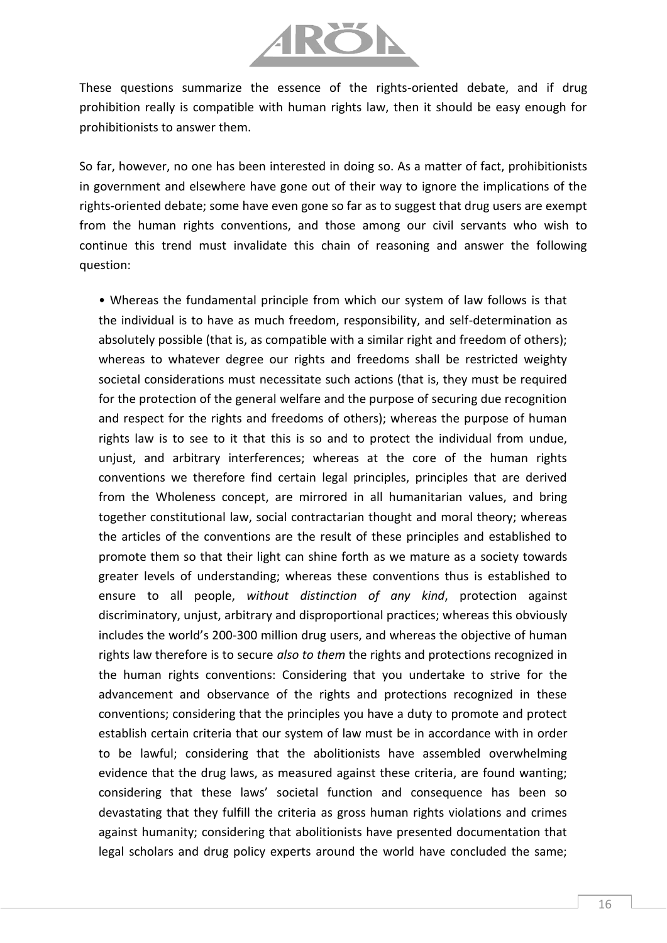

These questions summarize the essence of the rights-oriented debate, and if drug prohibition really is compatible with human rights law, then it should be easy enough for prohibitionists to answer them.

So far, however, no one has been interested in doing so. As a matter of fact, prohibitionists in government and elsewhere have gone out of their way to ignore the implications of the rights-oriented debate; some have even gone so far as to suggest that drug users are exempt from the human rights conventions, and those among our civil servants who wish to continue this trend must invalidate this chain of reasoning and answer the following question:

• Whereas the fundamental principle from which our system of law follows is that the individual is to have as much freedom, responsibility, and self-determination as absolutely possible (that is, as compatible with a similar right and freedom of others); whereas to whatever degree our rights and freedoms shall be restricted weighty societal considerations must necessitate such actions (that is, they must be required for the protection of the general welfare and the purpose of securing due recognition and respect for the rights and freedoms of others); whereas the purpose of human rights law is to see to it that this is so and to protect the individual from undue, unjust, and arbitrary interferences; whereas at the core of the human rights conventions we therefore find certain legal principles, principles that are derived from the Wholeness concept, are mirrored in all humanitarian values, and bring together constitutional law, social contractarian thought and moral theory; whereas the articles of the conventions are the result of these principles and established to promote them so that their light can shine forth as we mature as a society towards greater levels of understanding; whereas these conventions thus is established to ensure to all people, *without distinction of any kind*, protection against discriminatory, unjust, arbitrary and disproportional practices; whereas this obviously includes the world's 200-300 million drug users, and whereas the objective of human rights law therefore is to secure *also to them* the rights and protections recognized in the human rights conventions: Considering that you undertake to strive for the advancement and observance of the rights and protections recognized in these conventions; considering that the principles you have a duty to promote and protect establish certain criteria that our system of law must be in accordance with in order to be lawful; considering that the abolitionists have assembled overwhelming evidence that the drug laws, as measured against these criteria, are found wanting; considering that these laws' societal function and consequence has been so devastating that they fulfill the criteria as gross human rights violations and crimes against humanity; considering that abolitionists have presented documentation that legal scholars and drug policy experts around the world have concluded the same;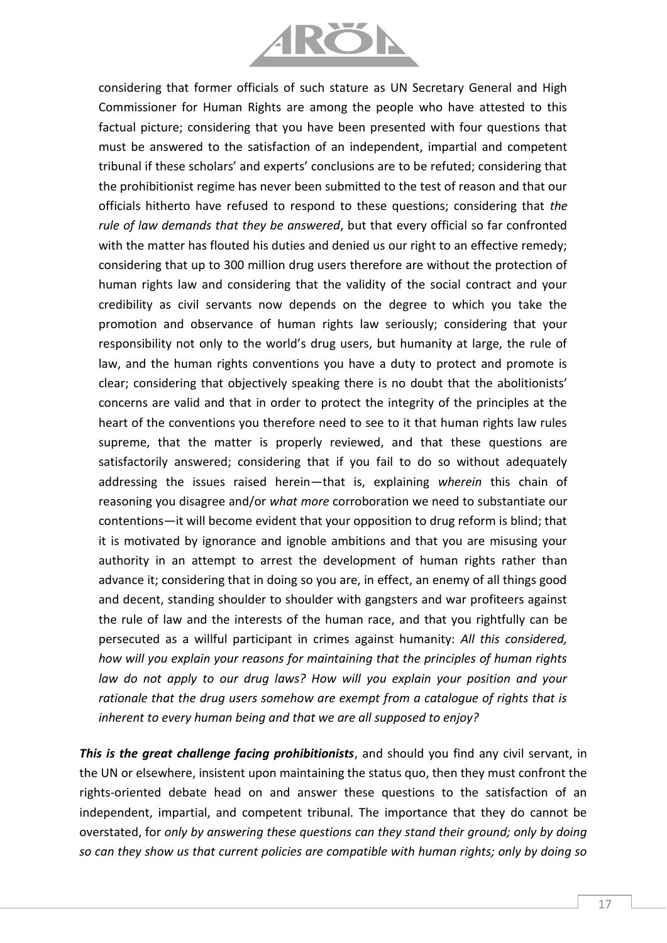

considering that former officials of such stature as UN Secretary General and High Commissioner for Human Rights are among the people who have attested to this factual picture; considering that you have been presented with four questions that must be answered to the satisfaction of an independent, impartial and competent tribunal if these scholars' and experts' conclusions are to be refuted; considering that the prohibitionist regime has never been submitted to the test of reason and that our officials hitherto have refused to respond to these questions; considering that *the rule of law demands that they be answered*, but that every official so far confronted with the matter has flouted his duties and denied us our right to an effective remedy; considering that up to 300 million drug users therefore are without the protection of human rights law and considering that the validity of the social contract and your credibility as civil servants now depends on the degree to which you take the promotion and observance of human rights law seriously; considering that your responsibility not only to the world's drug users, but humanity at large, the rule of law, and the human rights conventions you have a duty to protect and promote is clear; considering that objectively speaking there is no doubt that the abolitionists' concerns are valid and that in order to protect the integrity of the principles at the heart of the conventions you therefore need to see to it that human rights law rules supreme, that the matter is properly reviewed, and that these questions are satisfactorily answered; considering that if you fail to do so without adequately addressing the issues raised herein—that is, explaining *wherein* this chain of reasoning you disagree and/or *what more* corroboration we need to substantiate our contentions—it will become evident that your opposition to drug reform is blind; that it is motivated by ignorance and ignoble ambitions and that you are misusing your authority in an attempt to arrest the development of human rights rather than advance it; considering that in doing so you are, in effect, an enemy of all things good and decent, standing shoulder to shoulder with gangsters and war profiteers against the rule of law and the interests of the human race, and that you rightfully can be persecuted as a willful participant in crimes against humanity: *All this considered, how will you explain your reasons for maintaining that the principles of human rights law do not apply to our drug laws? How will you explain your position and your rationale that the drug users somehow are exempt from a catalogue of rights that is inherent to every human being and that we are all supposed to enjoy?*

*This is the great challenge facing prohibitionists*, and should you find any civil servant, in the UN or elsewhere, insistent upon maintaining the status quo, then they must confront the rights-oriented debate head on and answer these questions to the satisfaction of an independent, impartial, and competent tribunal. The importance that they do cannot be overstated, for *only by answering these questions can they stand their ground; only by doing so can they show us that current policies are compatible with human rights; only by doing so*